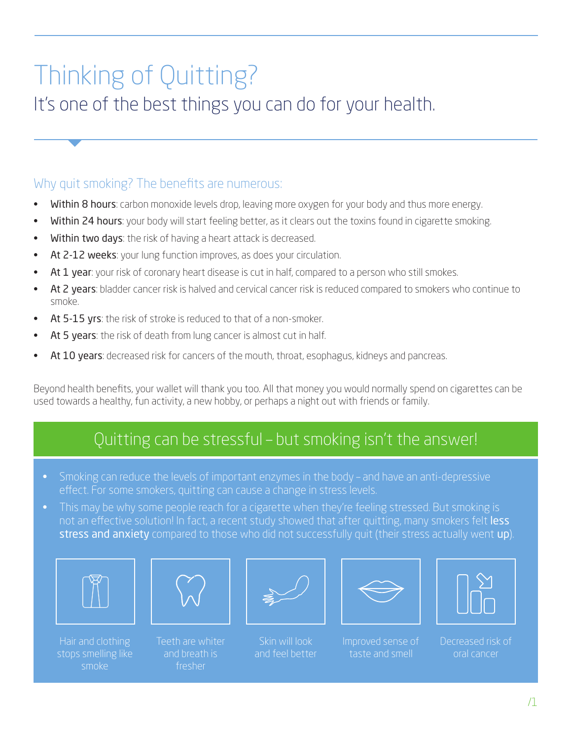## Thinking of Quitting?

It's one of the best things you can do for your health.

## Why quit smoking? The benefits are numerous:

- **Within 8 hours:** carbon monoxide levels drop, leaving more oxygen for your body and thus more energy.
- Within 24 hours: your body will start feeling better, as it clears out the toxins found in cigarette smoking.
- Within two days: the risk of having a heart attack is decreased.
- At 2-12 weeks: your lung function improves, as does your circulation.
- At 1 year: your risk of coronary heart disease is cut in half, compared to a person who still smokes.
- At 2 years: bladder cancer risk is halved and cervical cancer risk is reduced compared to smokers who continue to smoke.
- At 5-15 yrs: the risk of stroke is reduced to that of a non-smoker.
- At 5 years: the risk of death from lung cancer is almost cut in half.
- At 10 years: decreased risk for cancers of the mouth, throat, esophagus, kidneys and pancreas.

Beyond health benefits, your wallet will thank you too. All that money you would normally spend on cigarettes can be used towards a healthy, fun activity, a new hobby, or perhaps a night out with friends or family.

## Quitting can be stressful – but smoking isn't the answer!

- Smoking can reduce the levels of important enzymes in the body and have an anti-depressive effect. For some smokers, quitting can cause a change in stress levels.
- This may be why some people reach for a cigarette when they're feeling stressed. But smoking is not an effective solution! In fact, a recent study showed that after quitting, many smokers felt less stress and anxiety compared to those who did not successfully quit (their stress actually went up).



stops smelling like smoke



Teeth are whiter and breath is fresher



Skin will look and feel better



Improved sense of taste and smell



Decreased risk of oral cancer